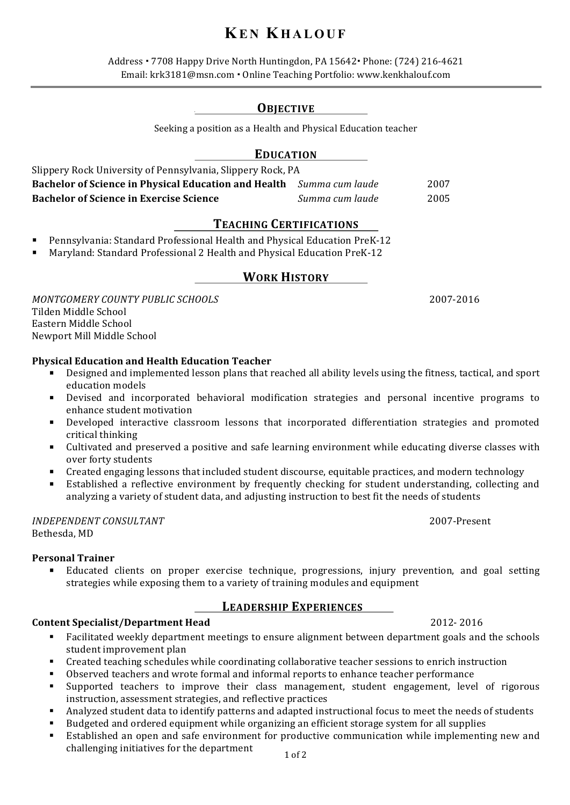# **KEN KHALOUF**

Address • 7708 Happy Drive North Huntingdon, PA 15642 · Phone: (724) 216-4621 Email: krk3181@msn.com • Online Teaching Portfolio: www.kenkhalouf.com

### **OBJECTIVE**

Seeking a position as a Health and Physical Education teacher

#### **EDUCATION**

| Slippery Rock University of Pennsylvania, Slippery Rock, PA          |      |
|----------------------------------------------------------------------|------|
| Bachelor of Science in Physical Education and Health Summa cum laude | 2007 |
| Summa cum laude                                                      | 2005 |
|                                                                      |      |

### **TEACHING CERTIFICATIONS**

- Pennsylvania: Standard Professional Health and Physical Education PreK-12
- § Maryland: Standard Professional 2 Health and Physical Education PreK-12

### **WORK HISTORY**

*MONTGOMERY COUNTY PUBLIC SCHOOLS* 2007-2016 Tilden Middle School Eastern Middle School Newport Mill Middle School

#### **Physical Education and Health Education Teacher**

- Designed and implemented lesson plans that reached all ability levels using the fitness, tactical, and sport education models
- Devised and incorporated behavioral modification strategies and personal incentive programs to enhance student motivation
- **•** Developed interactive classroom lessons that incorporated differentiation strategies and promoted critical thinking
- Cultivated and preserved a positive and safe learning environment while educating diverse classes with over forty students
- Created engaging lessons that included student discourse, equitable practices, and modern technology
- Established a reflective environment by frequently checking for student understanding, collecting and analyzing a variety of student data, and adjusting instruction to best fit the needs of students

*INDEPENDENT CONSULTANT* 2007-Present Bethesda, MD

#### **Personal Trainer**

Educated clients on proper exercise technique, progressions, injury prevention, and goal setting strategies while exposing them to a variety of training modules and equipment

**LEADERSHIP EXPERIENCES** 

# **Content Specialist/Department Head**  2012- 2016

- Facilitated weekly department meetings to ensure alignment between department goals and the schools student improvement plan
- Created teaching schedules while coordinating collaborative teacher sessions to enrich instruction
- Observed teachers and wrote formal and informal reports to enhance teacher performance
- § Supported teachers to improve their class management, student engagement, level of rigorous instruction, assessment strategies, and reflective practices
- Analyzed student data to identify patterns and adapted instructional focus to meet the needs of students
- Budgeted and ordered equipment while organizing an efficient storage system for all supplies
- Established an open and safe environment for productive communication while implementing new and challenging initiatives for the department